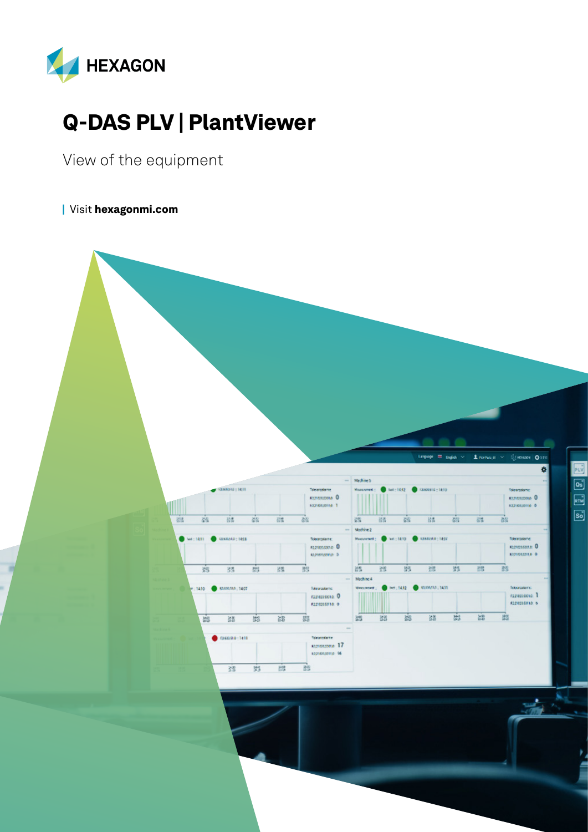

# Q-DAS PLV | PlantViewer

View of the equipment

| Visit [hexagonmi.com](https://www.hexagonmi.com/)